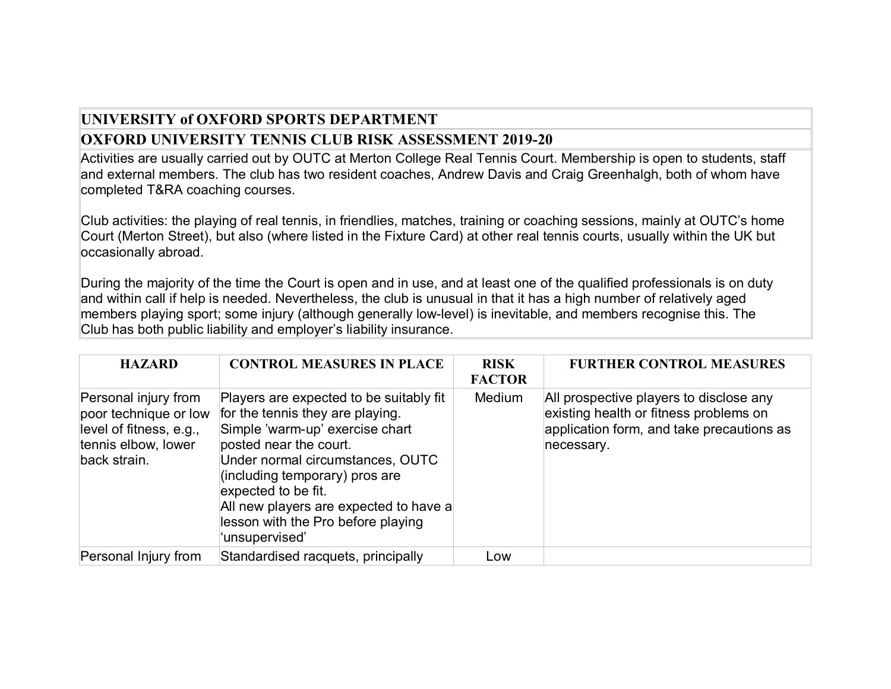## **UNIVERSITY of OXFORD SPORTS DEPARTMENT OXFORD UNIVERSITY TENNIS CLUB RISK ASSESSMENT 2019-20**

Activities are usually carried out by OUTC at Merton College Real Tennis Court. Membership is open to students, staff and external members. The club has two resident coaches, Andrew Davis and Craig Greenhalgh, both of whom have completed T&RA coaching courses.

Club activities: the playing of real tennis, in friendlies, matches, training or coaching sessions, mainly at OUTC's home Court (Merton Street), but also (where listed in the Fixture Card) at other real tennis courts, usually within the UK but occasionally abroad.

During the majority of the time the Court is open and in use, and at least one of the qualified professionals is on duty and within call if help is needed. Nevertheless, the club is unusual in that it has a high number of relatively aged members playing sport; some injury (although generally low-level) is inevitable, and members recognise this. The Club has both public liability and employer's liability insurance.

| <b>HAZARD</b>                                                                                                   | <b>CONTROL MEASURES IN PLACE</b>                                                                                                                                                                                                                                                                                                        | <b>RISK</b><br><b>FACTOR</b> | <b>FURTHER CONTROL MEASURES</b>                                                                                                              |
|-----------------------------------------------------------------------------------------------------------------|-----------------------------------------------------------------------------------------------------------------------------------------------------------------------------------------------------------------------------------------------------------------------------------------------------------------------------------------|------------------------------|----------------------------------------------------------------------------------------------------------------------------------------------|
| Personal injury from<br>poor technique or low<br>level of fitness, e.g.,<br>tennis elbow, lower<br>back strain. | Players are expected to be suitably fit<br>for the tennis they are playing.<br>Simple 'warm-up' exercise chart<br>posted near the court.<br>Under normal circumstances, OUTC<br>(including temporary) pros are<br>expected to be fit.<br>All new players are expected to have a<br>lesson with the Pro before playing<br>'unsupervised' | <b>Medium</b>                | All prospective players to disclose any<br>existing health or fitness problems on<br>application form, and take precautions as<br>necessary. |
| Personal Injury from                                                                                            | Standardised racquets, principally                                                                                                                                                                                                                                                                                                      | Low                          |                                                                                                                                              |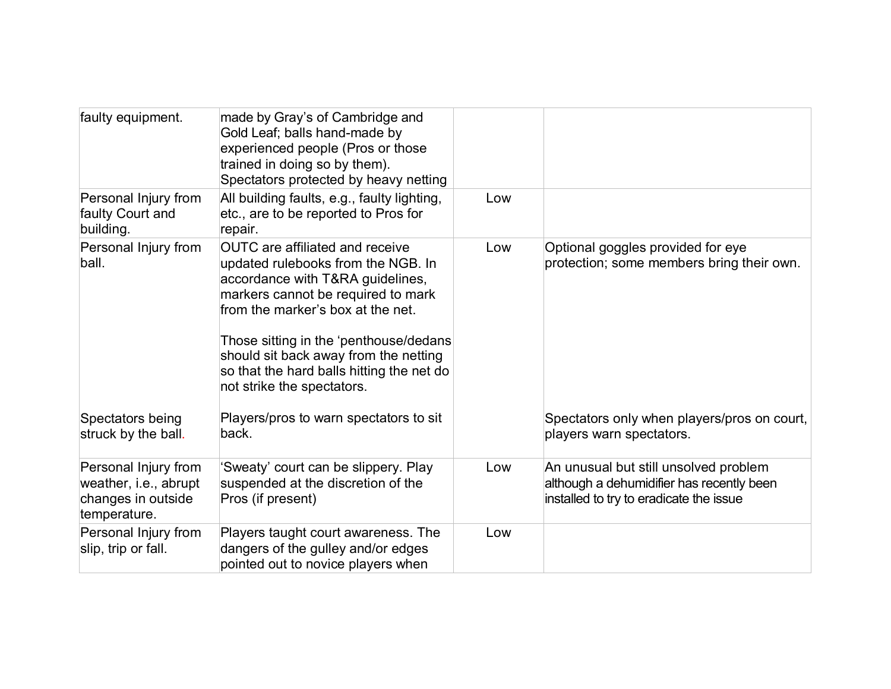| faulty equipment.                                                                   | made by Gray's of Cambridge and<br>Gold Leaf; balls hand-made by<br>experienced people (Pros or those<br>trained in doing so by them).<br>Spectators protected by heavy netting                                                                                                                                                                           |     |                                                                                                                               |
|-------------------------------------------------------------------------------------|-----------------------------------------------------------------------------------------------------------------------------------------------------------------------------------------------------------------------------------------------------------------------------------------------------------------------------------------------------------|-----|-------------------------------------------------------------------------------------------------------------------------------|
| Personal Injury from<br>faulty Court and<br>building.                               | All building faults, e.g., faulty lighting,<br>etc., are to be reported to Pros for<br>repair.                                                                                                                                                                                                                                                            | Low |                                                                                                                               |
| Personal Injury from<br>ball.                                                       | <b>OUTC</b> are affiliated and receive<br>updated rulebooks from the NGB. In<br>accordance with T&RA guidelines,<br>markers cannot be required to mark<br>from the marker's box at the net.<br>Those sitting in the 'penthouse/dedans<br>should sit back away from the netting<br>so that the hard balls hitting the net do<br>not strike the spectators. | Low | Optional goggles provided for eye<br>protection; some members bring their own.                                                |
| Spectators being<br>struck by the ball.                                             | Players/pros to warn spectators to sit<br>back.                                                                                                                                                                                                                                                                                                           |     | Spectators only when players/pros on court,<br>players warn spectators.                                                       |
| Personal Injury from<br>weather, i.e., abrupt<br>changes in outside<br>temperature. | 'Sweaty' court can be slippery. Play<br>suspended at the discretion of the<br>Pros (if present)                                                                                                                                                                                                                                                           | Low | An unusual but still unsolved problem<br>although a dehumidifier has recently been<br>installed to try to eradicate the issue |
| Personal Injury from<br>slip, trip or fall.                                         | Players taught court awareness. The<br>dangers of the gulley and/or edges<br>pointed out to novice players when                                                                                                                                                                                                                                           | Low |                                                                                                                               |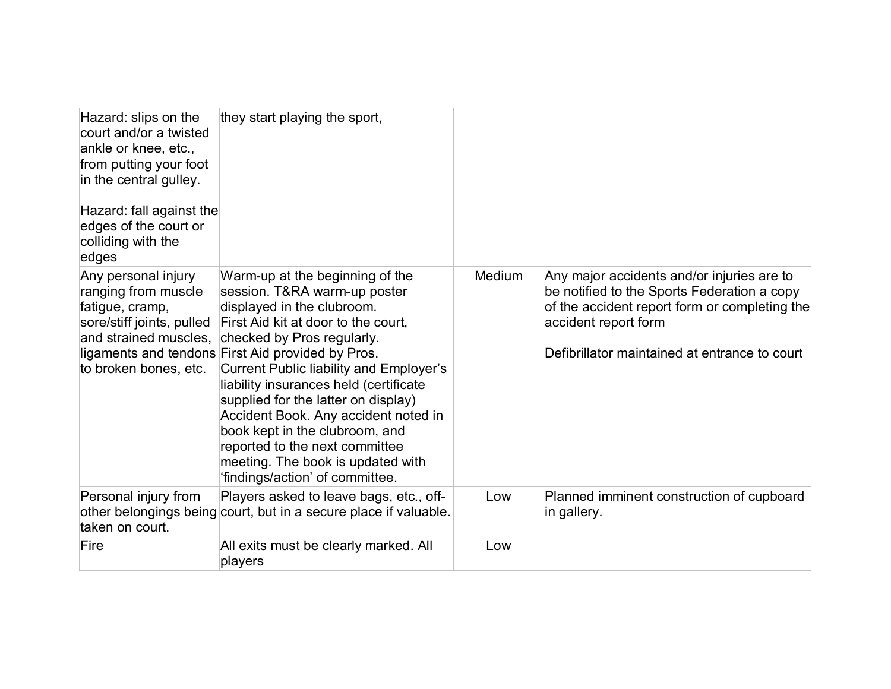| Hazard: slips on the<br>court and/or a twisted<br>ankle or knee, etc.,<br>from putting your foot<br>in the central gulley.<br>Hazard: fall against the<br>edges of the court or<br>colliding with the<br>edges | they start playing the sport,                                                                                                                                                                                                                                                                                                                                                                                                                                                                                                                  |        |                                                                                                                                                                                                                     |
|----------------------------------------------------------------------------------------------------------------------------------------------------------------------------------------------------------------|------------------------------------------------------------------------------------------------------------------------------------------------------------------------------------------------------------------------------------------------------------------------------------------------------------------------------------------------------------------------------------------------------------------------------------------------------------------------------------------------------------------------------------------------|--------|---------------------------------------------------------------------------------------------------------------------------------------------------------------------------------------------------------------------|
| Any personal injury<br>ranging from muscle<br>fatigue, cramp,<br>sore/stiff joints, pulled<br>and strained muscles,<br>to broken bones, etc.                                                                   | Warm-up at the beginning of the<br>session. T&RA warm-up poster<br>displayed in the clubroom.<br>First Aid kit at door to the court,<br>checked by Pros regularly.<br>ligaments and tendons First Aid provided by Pros.<br><b>Current Public liability and Employer's</b><br>liability insurances held (certificate<br>supplied for the latter on display)<br>Accident Book. Any accident noted in<br>book kept in the clubroom, and<br>reported to the next committee<br>meeting. The book is updated with<br>'findings/action' of committee. | Medium | Any major accidents and/or injuries are to<br>be notified to the Sports Federation a copy<br>of the accident report form or completing the<br>accident report form<br>Defibrillator maintained at entrance to court |
| Personal injury from<br>taken on court.                                                                                                                                                                        | Players asked to leave bags, etc., off-<br>other belongings being court, but in a secure place if valuable.                                                                                                                                                                                                                                                                                                                                                                                                                                    | Low    | Planned imminent construction of cupboard<br>in gallery.                                                                                                                                                            |
| Fire                                                                                                                                                                                                           | All exits must be clearly marked. All<br>players                                                                                                                                                                                                                                                                                                                                                                                                                                                                                               | Low    |                                                                                                                                                                                                                     |